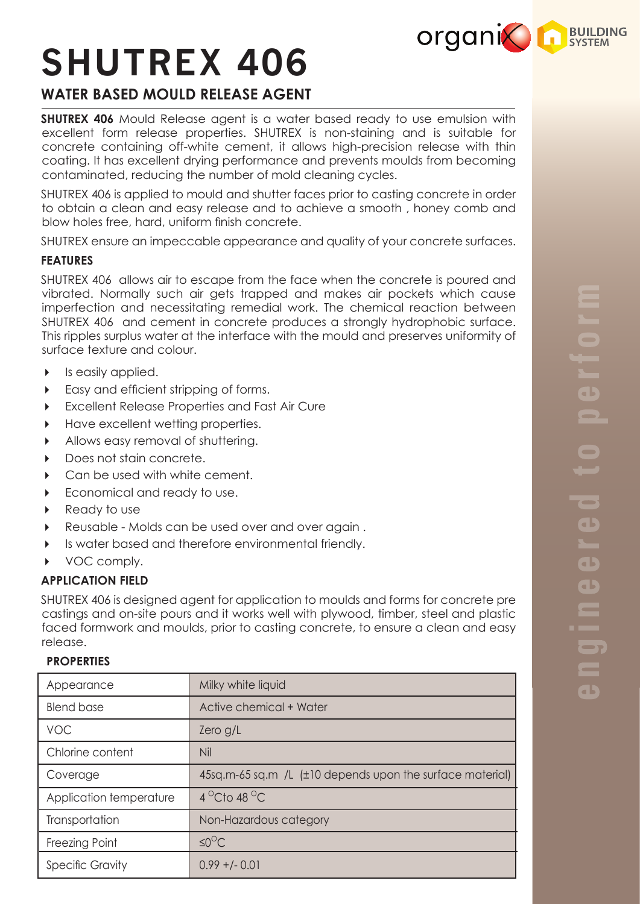

# **SHUTREX 406**

# **WATER BASED MOULD RELEASE AGENT**

**SHUTREX 406** Mould Release agent is a water based ready to use emulsion with excellent form release properties. SHUTREX is non-staining and is suitable for concrete containing off-white cement, it allows high-precision release with thin coating. It has excellent drying performance and prevents moulds from becoming contaminated, reducing the number of mold cleaning cycles.

SHUTREX 406 is applied to mould and shutter faces prior to casting concrete in order to obtain a clean and easy release and to achieve a smooth , honey comb and blow holes free, hard, uniform finish concrete.

SHUTREX ensure an impeccable appearance and quality of your concrete surfaces.

## **FEATURES**

SHUTREX 406 allows air to escape from the face when the concrete is poured and vibrated. Normally such air gets trapped and makes air pockets which cause imperfection and necessitating remedial work. The chemical reaction between SHUTREX 406 and cement in concrete produces a strongly hydrophobic surface. This ripples surplus water at the interface with the mould and preserves uniformity of surface texture and colour.

- $\triangleright$  Is easily applied.
- Easy and efficient stripping of forms.
- Excellent Release Properties and Fast Air Cure
- Have excellent wetting properties.
- Allows easy removal of shuttering.
- Does not stain concrete.
- ▶ Can be used with white cement.
- Economical and ready to use.
- ▶ Ready to use
- Reusable Molds can be used over and over again .
- Is water based and therefore environmental friendly.
- ▶ VOC comply.

# **APPLICATION FIELD**

SHUTREX 406 is designed agent for application to moulds and forms for concrete pre castings and on-site pours and it works well with plywood, timber, steel and plastic faced formwork and moulds, prior to casting concrete, to ensure a clean and easy release.

# **PROPERTIES**

| Appearance              | Milky white liquid                                        |
|-------------------------|-----------------------------------------------------------|
| <b>Blend base</b>       | Active chemical + Water                                   |
| <b>VOC</b>              | Zero g/L                                                  |
| Chlorine content        | Nil                                                       |
| Coverage                | 45sq.m-65 sq.m /L (±10 depends upon the surface material) |
| Application temperature | $4^{\circ}$ Cto 48 $^{\circ}$ C                           |
| Transportation          | Non-Hazardous category                                    |
| Freezing Point          | $\leq 0^{\circ}C$                                         |
| <b>Specific Gravity</b> | $0.99 + (-0.01)$                                          |